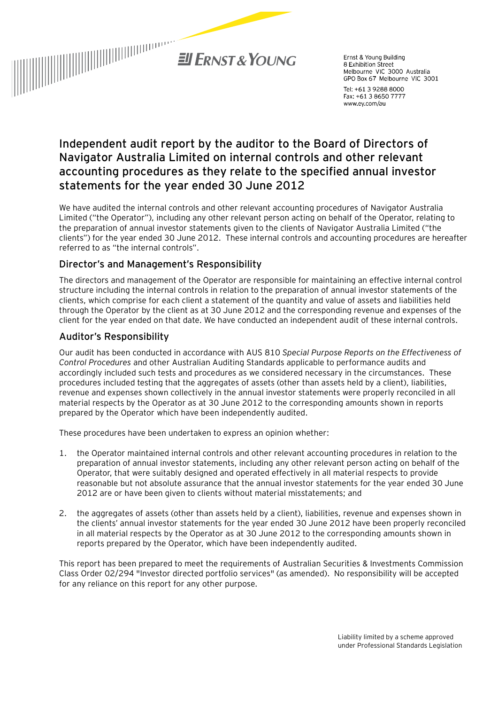

Frnst & Young Building 8 Exhibition Street o Exmondon Street<br>Melbourne VIC 3000 Australia<br>GPO Box 67 Melbourne VIC 3001

Tel: +61 3 9288 8000 Fax: +61 3 8650 7777 www.ey.com/au

# **Independent audit report by the auditor to the Board of Directors of Navigator Australia Limited on internal controls and other relevant accounting procedures as they relate to the specified annual investor statements for the year ended 30 June 2012**

We have audited the internal controls and other relevant accounting procedures of Navigator Australia Limited ("the Operator"), including any other relevant person acting on behalf of the Operator, relating to the preparation of annual investor statements given to the clients of Navigator Australia Limited ("the clients") for the year ended 30 June 2012. These internal controls and accounting procedures are hereafter referred to as "the internal controls".

# Director's and Management's Responsibility

The directors and management of the Operator are responsible for maintaining an effective internal control structure including the internal controls in relation to the preparation of annual investor statements of the clients, which comprise for each client a statement of the quantity and value of assets and liabilities held through the Operator by the client as at 30 June 2012 and the corresponding revenue and expenses of the client for the year ended on that date. We have conducted an independent audit of these internal controls.

# Auditor's Responsibility

Our audit has been conducted in accordance with AUS 810 *Special Purpose Reports on the Effectiveness of Control Procedures* and other Australian Auditing Standards applicable to performance audits and accordingly included such tests and procedures as we considered necessary in the circumstances. These procedures included testing that the aggregates of assets (other than assets held by a client), liabilities, revenue and expenses shown collectively in the annual investor statements were properly reconciled in all material respects by the Operator as at 30 June 2012 to the corresponding amounts shown in reports prepared by the Operator which have been independently audited.

These procedures have been undertaken to express an opinion whether:

- 1. the Operator maintained internal controls and other relevant accounting procedures in relation to the preparation of annual investor statements, including any other relevant person acting on behalf of the Operator, that were suitably designed and operated effectively in all material respects to provide reasonable but not absolute assurance that the annual investor statements for the year ended 30 June 2012 are or have been given to clients without material misstatements; and
- 2. the aggregates of assets (other than assets held by a client), liabilities, revenue and expenses shown in the clients' annual investor statements for the year ended 30 June 2012 have been properly reconciled in all material respects by the Operator as at 30 June 2012 to the corresponding amounts shown in reports prepared by the Operator, which have been independently audited.

This report has been prepared to meet the requirements of Australian Securities & Investments Commission Class Order 02/294 "Investor directed portfolio services" (as amended). No responsibility will be accepted for any reliance on this report for any other purpose.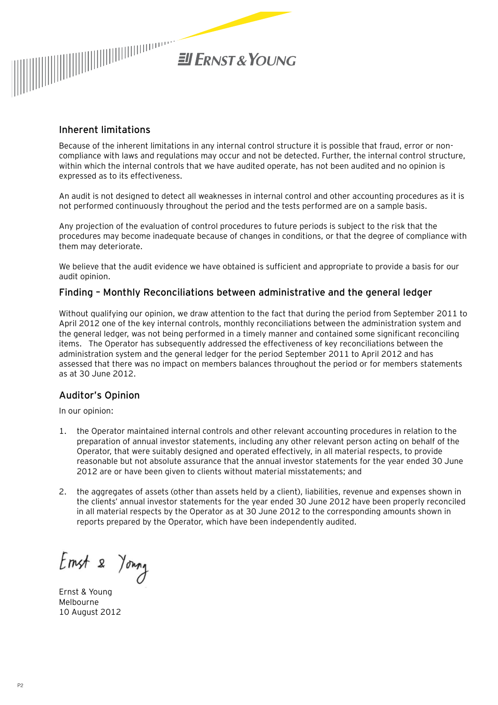

### Inherent limitations

Because of the inherent limitations in any internal control structure it is possible that fraud, error or noncompliance with laws and regulations may occur and not be detected. Further, the internal control structure, within which the internal controls that we have audited operate, has not been audited and no opinion is expressed as to its effectiveness.

An audit is not designed to detect all weaknesses in internal control and other accounting procedures as it is not performed continuously throughout the period and the tests performed are on a sample basis.

Any projection of the evaluation of control procedures to future periods is subject to the risk that the procedures may become inadequate because of changes in conditions, or that the degree of compliance with them may deteriorate.

We believe that the audit evidence we have obtained is sufficient and appropriate to provide a basis for our audit opinion.

### Finding – Monthly Reconciliations between administrative and the general ledger

Without qualifying our opinion, we draw attention to the fact that during the period from September 2011 to April 2012 one of the key internal controls, monthly reconciliations between the administration system and the general ledger, was not being performed in a timely manner and contained some significant reconciling items. The Operator has subsequently addressed the effectiveness of key reconciliations between the administration system and the general ledger for the period September 2011 to April 2012 and has assessed that there was no impact on members balances throughout the period or for members statements as at 30 June 2012.

# Auditor's Opinion

In our opinion:

- 1. the Operator maintained internal controls and other relevant accounting procedures in relation to the preparation of annual investor statements, including any other relevant person acting on behalf of the Operator, that were suitably designed and operated effectively, in all material respects, to provide reasonable but not absolute assurance that the annual investor statements for the year ended 30 June 2012 are or have been given to clients without material misstatements; and
- 2. the aggregates of assets (other than assets held by a client), liabilities, revenue and expenses shown in the clients' annual investor statements for the year ended 30 June 2012 have been properly reconciled in all material respects by the Operator as at 30 June 2012 to the corresponding amounts shown in reports prepared by the Operator, which have been independently audited.

Emst 2 Young

Ernst & Young Melbourne 10 August 2012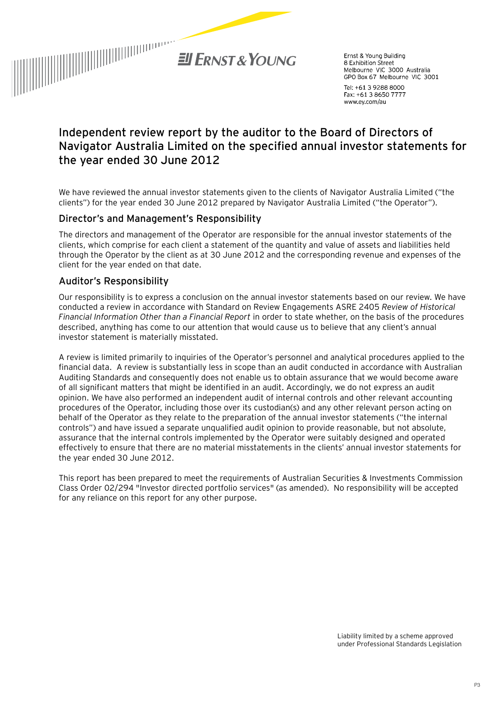

Ernst & Young Building 8 Exhibition Street Melbourne VIC 3000 Australia GPO Box 67 Melbourne VIC 3001

Tel: +61 3 9288 8000 Fax: +61 3 8650 7777 www.ey.com/au

# **Independent review report by the auditor to the Board of Directors of Navigator Australia Limited on the specified annual investor statements for the year ended 30 June 2012**

We have reviewed the annual investor statements given to the clients of Navigator Australia Limited ("the clients") for the year ended 30 June 2012 prepared by Navigator Australia Limited ("the Operator").

### Director's and Management's Responsibility

The directors and management of the Operator are responsible for the annual investor statements of the clients, which comprise for each client a statement of the quantity and value of assets and liabilities held through the Operator by the client as at 30 June 2012 and the corresponding revenue and expenses of the client for the year ended on that date.

# Auditor's Responsibility

Our responsibility is to express a conclusion on the annual investor statements based on our review. We have conducted a review in accordance with Standard on Review Engagements ASRE 2405 *Review of Historical Financial Information Other than a Financial Report* in order to state whether, on the basis of the procedures described, anything has come to our attention that would cause us to believe that any client's annual investor statement is materially misstated.

A review is limited primarily to inquiries of the Operator's personnel and analytical procedures applied to the financial data. A review is substantially less in scope than an audit conducted in accordance with Australian Auditing Standards and consequently does not enable us to obtain assurance that we would become aware of all significant matters that might be identified in an audit. Accordingly, we do not express an audit opinion. We have also performed an independent audit of internal controls and other relevant accounting procedures of the Operator, including those over its custodian(s) and any other relevant person acting on behalf of the Operator as they relate to the preparation of the annual investor statements ("the internal controls") and have issued a separate unqualified audit opinion to provide reasonable, but not absolute, assurance that the internal controls implemented by the Operator were suitably designed and operated effectively to ensure that there are no material misstatements in the clients' annual investor statements for the year ended 30 June 2012.

This report has been prepared to meet the requirements of Australian Securities & Investments Commission Class Order 02/294 "Investor directed portfolio services" (as amended). No responsibility will be accepted for any reliance on this report for any other purpose.